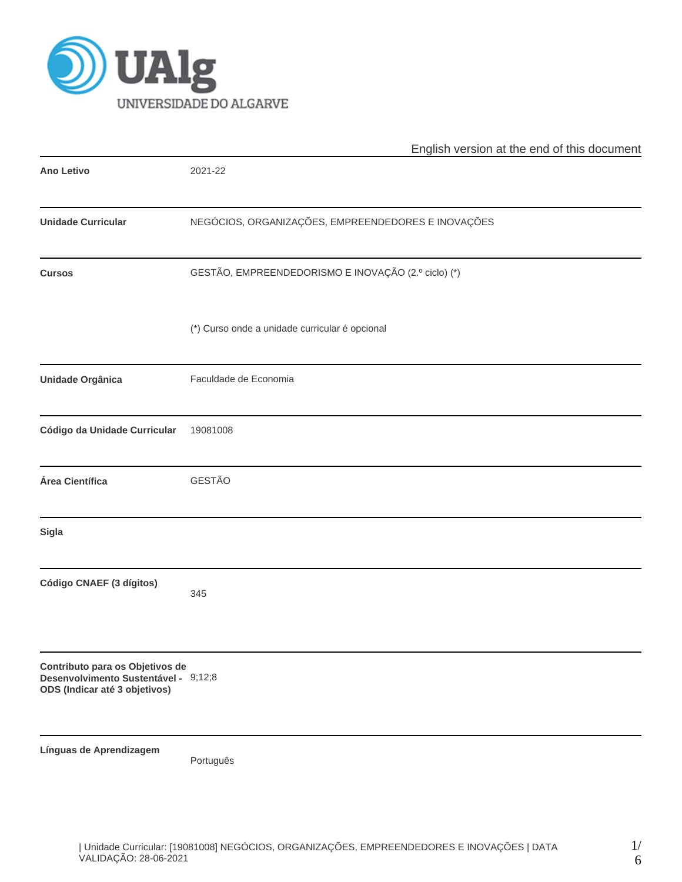

|                                                                                                          | English version at the end of this document         |  |  |  |  |  |  |
|----------------------------------------------------------------------------------------------------------|-----------------------------------------------------|--|--|--|--|--|--|
| <b>Ano Letivo</b>                                                                                        | 2021-22                                             |  |  |  |  |  |  |
| <b>Unidade Curricular</b>                                                                                | NEGÓCIOS, ORGANIZAÇÕES, EMPREENDEDORES E INOVAÇÕES  |  |  |  |  |  |  |
| <b>Cursos</b>                                                                                            | GESTÃO, EMPREENDEDORISMO E INOVAÇÃO (2.º ciclo) (*) |  |  |  |  |  |  |
|                                                                                                          | (*) Curso onde a unidade curricular é opcional      |  |  |  |  |  |  |
| Unidade Orgânica                                                                                         | Faculdade de Economia                               |  |  |  |  |  |  |
| Código da Unidade Curricular                                                                             | 19081008                                            |  |  |  |  |  |  |
| Área Científica                                                                                          | <b>GESTÃO</b>                                       |  |  |  |  |  |  |
| Sigla                                                                                                    |                                                     |  |  |  |  |  |  |
| Código CNAEF (3 dígitos)                                                                                 | 345                                                 |  |  |  |  |  |  |
| Contributo para os Objetivos de<br>Desenvolvimento Sustentável - 9;12;8<br>ODS (Indicar até 3 objetivos) |                                                     |  |  |  |  |  |  |
| Línguas de Aprendizagem                                                                                  | Português                                           |  |  |  |  |  |  |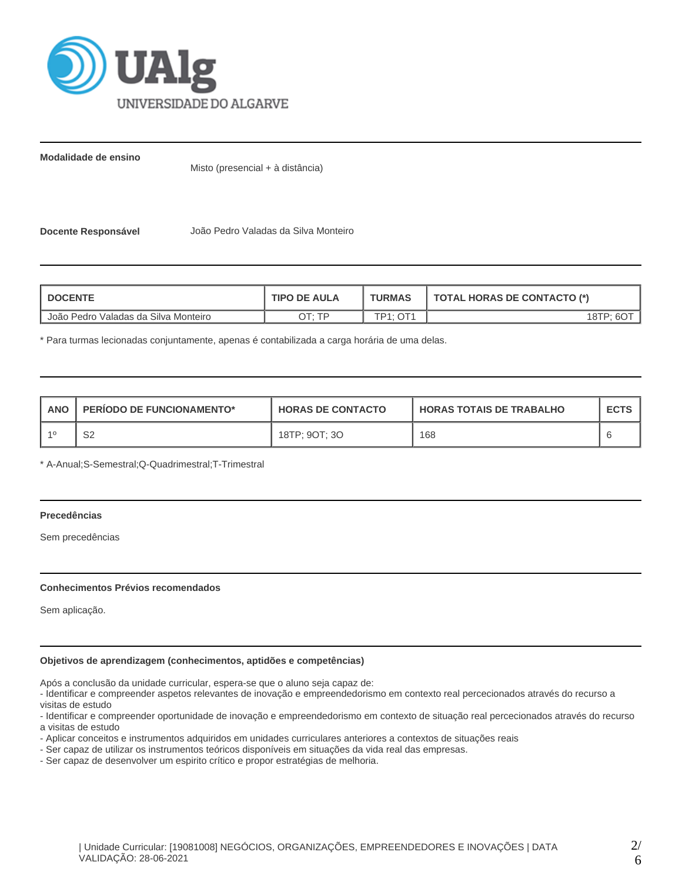

**Modalidade de ensino**

Misto (presencial + à distância)

**Docente Responsável** João Pedro Valadas da Silva Monteiro

| <b>I DOCENTE</b>                     | <b>TIPO DE AULA</b> | <b>TURMAS</b> | <b>TOTAL HORAS DE CONTACTO (*)</b> |  |  |
|--------------------------------------|---------------------|---------------|------------------------------------|--|--|
| João Pedro Valadas da Silva Monteiro | חד ּיד∩             | TP1: OT1      | 18TP: 60 <sup>T</sup>              |  |  |

\* Para turmas lecionadas conjuntamente, apenas é contabilizada a carga horária de uma delas.

| <b>ANO</b> | <b>PERIODO DE FUNCIONAMENTO*</b> | <b>HORAS DE CONTACTO</b> | <b>HORAS TOTAIS DE TRABALHO</b> | <b>ECTS</b> |
|------------|----------------------------------|--------------------------|---------------------------------|-------------|
| $-40$      | ົ<br>ےت                          | 18TP; 9OT; 3O            | 168                             |             |

\* A-Anual;S-Semestral;Q-Quadrimestral;T-Trimestral

# **Precedências**

Sem precedências

#### **Conhecimentos Prévios recomendados**

Sem aplicação.

#### **Objetivos de aprendizagem (conhecimentos, aptidões e competências)**

Após a conclusão da unidade curricular, espera-se que o aluno seja capaz de:

- Identificar e compreender aspetos relevantes de inovação e empreendedorismo em contexto real percecionados através do recurso a visitas de estudo

- Identificar e compreender oportunidade de inovação e empreendedorismo em contexto de situação real percecionados através do recurso a visitas de estudo

- Aplicar conceitos e instrumentos adquiridos em unidades curriculares anteriores a contextos de situações reais

- Ser capaz de utilizar os instrumentos teóricos disponíveis em situações da vida real das empresas.

- Ser capaz de desenvolver um espirito crítico e propor estratégias de melhoria.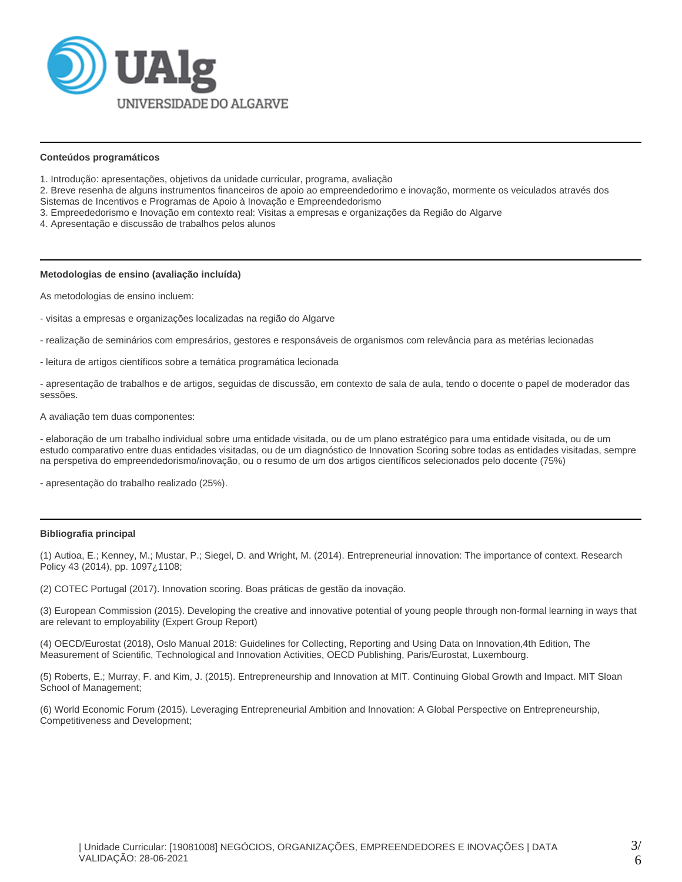

#### **Conteúdos programáticos**

- 1. Introdução: apresentações, objetivos da unidade curricular, programa, avaliação
- 2. Breve resenha de alguns instrumentos financeiros de apoio ao empreendedorimo e inovação, mormente os veiculados através dos Sistemas de Incentivos e Programas de Apoio à Inovação e Empreendedorismo
- 3. Empreededorismo e Inovação em contexto real: Visitas a empresas e organizações da Região do Algarve
- 4. Apresentação e discussão de trabalhos pelos alunos

#### **Metodologias de ensino (avaliação incluída)**

As metodologias de ensino incluem:

- visitas a empresas e organizações localizadas na região do Algarve
- realização de seminários com empresários, gestores e responsáveis de organismos com relevância para as metérias lecionadas
- leitura de artigos científicos sobre a temática programática lecionada

- apresentação de trabalhos e de artigos, seguidas de discussão, em contexto de sala de aula, tendo o docente o papel de moderador das sessões.

A avaliação tem duas componentes:

- elaboração de um trabalho individual sobre uma entidade visitada, ou de um plano estratégico para uma entidade visitada, ou de um estudo comparativo entre duas entidades visitadas, ou de um diagnóstico de Innovation Scoring sobre todas as entidades visitadas, sempre na perspetiva do empreendedorismo/inovação, ou o resumo de um dos artigos científicos selecionados pelo docente (75%)

- apresentação do trabalho realizado (25%).

#### **Bibliografia principal**

(1) Autioa, E.; Kenney, M.; Mustar, P.; Siegel, D. and Wright, M. (2014). Entrepreneurial innovation: The importance of context. Research Policy 43 (2014), pp. 1097¿1108;

(2) COTEC Portugal (2017). Innovation scoring. Boas práticas de gestão da inovação.

(3) European Commission (2015). Developing the creative and innovative potential of young people through non-formal learning in ways that are relevant to employability (Expert Group Report)

(4) OECD/Eurostat (2018), Oslo Manual 2018: Guidelines for Collecting, Reporting and Using Data on Innovation,4th Edition, The Measurement of Scientific, Technological and Innovation Activities, OECD Publishing, Paris/Eurostat, Luxembourg.

(5) Roberts, E.; Murray, F. and Kim, J. (2015). Entrepreneurship and Innovation at MIT. Continuing Global Growth and Impact. MIT Sloan School of Management;

(6) World Economic Forum (2015). Leveraging Entrepreneurial Ambition and Innovation: A Global Perspective on Entrepreneurship, Competitiveness and Development;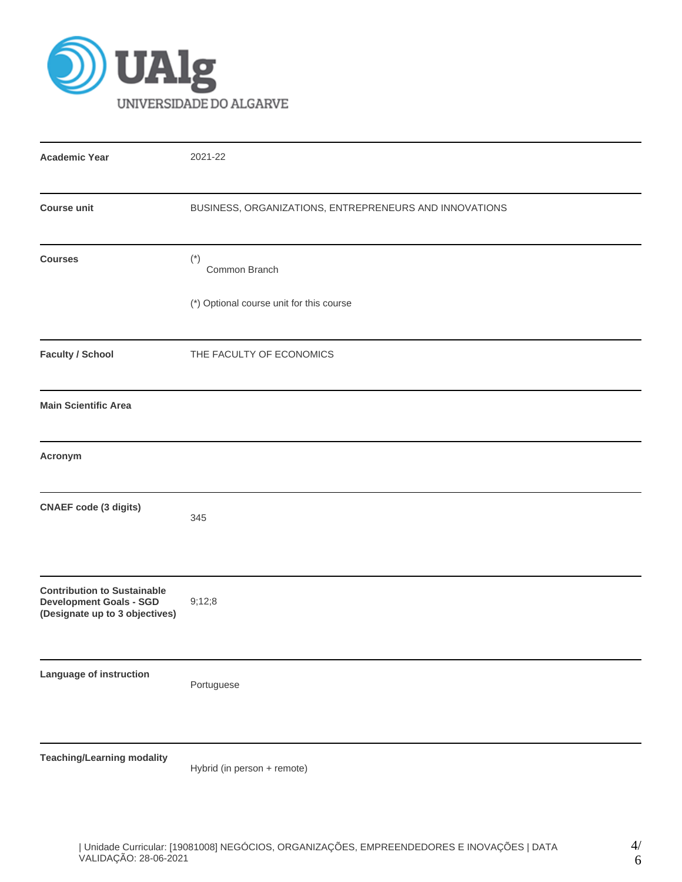

| <b>Academic Year</b>                                                                                   | 2021-22                                                |
|--------------------------------------------------------------------------------------------------------|--------------------------------------------------------|
| <b>Course unit</b>                                                                                     | BUSINESS, ORGANIZATIONS, ENTREPRENEURS AND INNOVATIONS |
| <b>Courses</b>                                                                                         | $(*)$<br>Common Branch                                 |
|                                                                                                        | (*) Optional course unit for this course               |
| <b>Faculty / School</b>                                                                                | THE FACULTY OF ECONOMICS                               |
| <b>Main Scientific Area</b>                                                                            |                                                        |
| Acronym                                                                                                |                                                        |
| <b>CNAEF</b> code (3 digits)                                                                           | 345                                                    |
| <b>Contribution to Sustainable</b><br><b>Development Goals - SGD</b><br>(Designate up to 3 objectives) | 9;12;8                                                 |
| Language of instruction                                                                                | Portuguese                                             |
| <b>Teaching/Learning modality</b>                                                                      |                                                        |

Hybrid (in person + remote)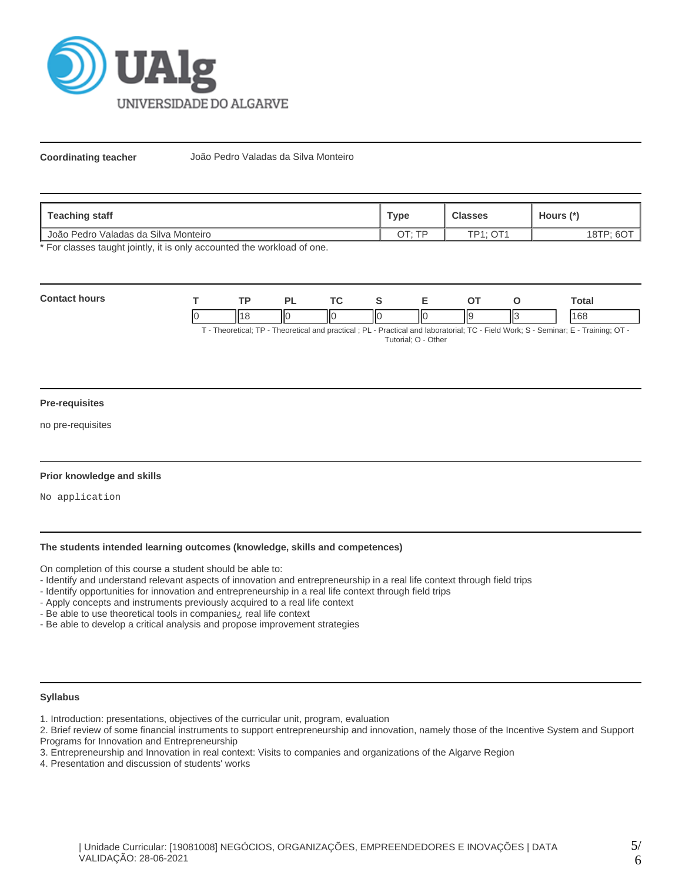

**Coordinating teacher** João Pedro Valadas da Silva Monteiro

| Teaching staff                                    | Type | <b>Classes</b>  | Hours (*)   |
|---------------------------------------------------|------|-----------------|-------------|
| <sup>1</sup> João Pedro Valadas da Silva Monteiro |      | <b>TP1: OT1</b> | $18TP; F^C$ |

\* For classes taught jointly, it is only accounted the workload of one.

| Cont |    | TD. |    | <u>те</u> |    |     |          | otal        |
|------|----|-----|----|-----------|----|-----|----------|-------------|
|      | IC |     | ΠС | IЮ<br>I   | ШC | ll9 | н٠<br>∣⊾ | 169<br>. UU |

T - Theoretical; TP - Theoretical and practical ; PL - Practical and laboratorial; TC - Field Work; S - Seminar; E - Training; OT - Tutorial; O - Other

#### **Pre-requisites**

no pre-requisites

#### **Prior knowledge and skills**

No application

### **The students intended learning outcomes (knowledge, skills and competences)**

On completion of this course a student should be able to:

- Identify and understand relevant aspects of innovation and entrepreneurship in a real life context through field trips
- Identify opportunities for innovation and entrepreneurship in a real life context through field trips
- Apply concepts and instruments previously acquired to a real life context
- Be able to use theoretical tools in companies¿ real life context
- Be able to develop a critical analysis and propose improvement strategies

### **Syllabus**

- 1. Introduction: presentations, objectives of the curricular unit, program, evaluation
- 2. Brief review of some financial instruments to support entrepreneurship and innovation, namely those of the Incentive System and Support Programs for Innovation and Entrepreneurship
- 3. Entrepreneurship and Innovation in real context: Visits to companies and organizations of the Algarve Region
- 4. Presentation and discussion of students' works